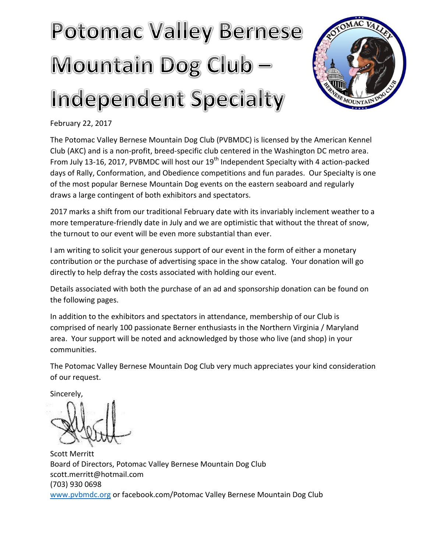## **Potomac Valley Bernese** Mountain Dog Club -Independent Specialty



February 22, 2017

The Potomac Valley Bernese Mountain Dog Club (PVBMDC) is licensed by the American Kennel Club (AKC) and is a non-profit, breed-specific club centered in the Washington DC metro area. From July 13-16, 2017, PVBMDC will host our 19<sup>th</sup> Independent Specialty with 4 action-packed days of Rally, Conformation, and Obedience competitions and fun parades. Our Specialty is one of the most popular Bernese Mountain Dog events on the eastern seaboard and regularly draws a large contingent of both exhibitors and spectators.

2017 marks a shift from our traditional February date with its invariably inclement weather to a more temperature-friendly date in July and we are optimistic that without the threat of snow, the turnout to our event will be even more substantial than ever.

I am writing to solicit your generous support of our event in the form of either a monetary contribution or the purchase of advertising space in the show catalog. Your donation will go directly to help defray the costs associated with holding our event.

Details associated with both the purchase of an ad and sponsorship donation can be found on the following pages.

In addition to the exhibitors and spectators in attendance, membership of our Club is comprised of nearly 100 passionate Berner enthusiasts in the Northern Virginia / Maryland area. Your support will be noted and acknowledged by those who live (and shop) in your communities.

The Potomac Valley Bernese Mountain Dog Club very much appreciates your kind consideration of our request.

Sincerely,

Scott Merritt Board of Directors, Potomac Valley Bernese Mountain Dog Club scott.merritt@hotmail.com (703) 930 0698 [www.pvbmdc.org](http://www.pvbmdc.org/) or facebook.com/Potomac Valley Bernese Mountain Dog Club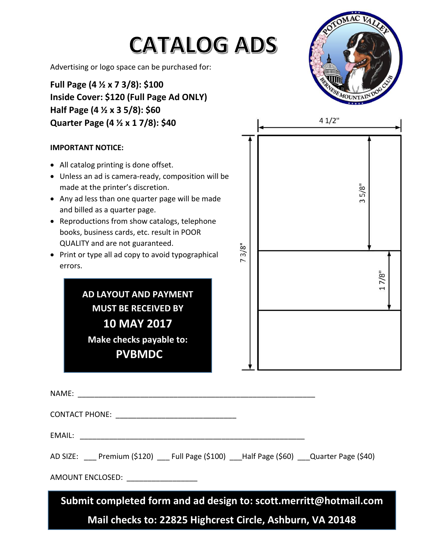| <b>CATALOG ADS</b><br>Advertising or logo space can be purchased for:<br>Full Page $(4 \times x 7 3/8)$ : \$100<br>Inside Cover: \$120 (Full Page Ad ONLY)<br>Half Page (4 $\frac{1}{2}$ x 3 5/8): \$60<br>Quarter Page (4 1/2 x 1 7/8): \$40                                                                                                                                                                                                                                                     |         | OMAC VALLE<br>41/2"                    |  |  |  |  |
|---------------------------------------------------------------------------------------------------------------------------------------------------------------------------------------------------------------------------------------------------------------------------------------------------------------------------------------------------------------------------------------------------------------------------------------------------------------------------------------------------|---------|----------------------------------------|--|--|--|--|
| <b>IMPORTANT NOTICE:</b><br>All catalog printing is done offset.                                                                                                                                                                                                                                                                                                                                                                                                                                  |         |                                        |  |  |  |  |
| Unless an ad is camera-ready, composition will be<br>made at the printer's discretion.<br>Any ad less than one quarter page will be made<br>and billed as a quarter page.<br>Reproductions from show catalogs, telephone<br>books, business cards, etc. result in POOR<br>QUALITY and are not guaranteed.<br>Print or type all ad copy to avoid typographical<br>errors.<br>AD LAYOUT AND PAYMENT<br><b>MUST BE RECEIVED BY</b><br><b>10 MAY 2017</b><br>Make checks payable to:<br><b>PVBMDC</b> | $3/8$ " | $5/8$ "<br>3<br>7/8"<br>$\overline{ }$ |  |  |  |  |
| NAME: NAME:                                                                                                                                                                                                                                                                                                                                                                                                                                                                                       |         |                                        |  |  |  |  |
| CONTACT PHONE: ___________________________________                                                                                                                                                                                                                                                                                                                                                                                                                                                |         |                                        |  |  |  |  |
|                                                                                                                                                                                                                                                                                                                                                                                                                                                                                                   |         |                                        |  |  |  |  |
| AD SIZE: ___ Premium (\$120) __ Full Page (\$100) __ Half Page (\$60) __ Quarter Page (\$40)                                                                                                                                                                                                                                                                                                                                                                                                      |         |                                        |  |  |  |  |
| AMOUNT ENCLOSED: ___________________                                                                                                                                                                                                                                                                                                                                                                                                                                                              |         |                                        |  |  |  |  |
| Submit completed form and ad design to: scott.merritt@hotmail.com<br>Mail checks to: 22825 Highcrest Circle, Ashburn, VA 20148                                                                                                                                                                                                                                                                                                                                                                    |         |                                        |  |  |  |  |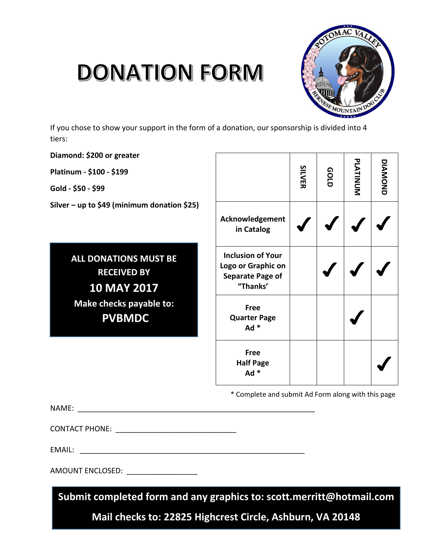## **DONATION FORM**



If you chose to show your support in the form of a donation, our sponsorship is divided into 4 tiers:

**Diamond: \$200 or greater**

**Platinum - \$100 - \$199**

**Gold - \$50 - \$99**

**Silver – up to \$49 (minimum donation \$25)**

**ALL DONATIONS MUST BE RECEIVED BY 10 MAY 2017 Make checks payable to: PVBMDC**

|                                                                                       | <b>SILVER</b> | GOLD | PLATINUM | DIANOND |
|---------------------------------------------------------------------------------------|---------------|------|----------|---------|
| Acknowledgement<br>in Catalog                                                         |               |      |          |         |
| <b>Inclusion of Your</b><br>Logo or Graphic on<br><b>Separate Page of</b><br>"Thanks' |               |      |          |         |
| <b>Free</b><br><b>Quarter Page</b><br>$Ad *$                                          |               |      |          |         |
| <b>Free</b><br><b>Half Page</b><br>Ad *                                               |               |      |          |         |

\* Complete and submit Ad Form along with this page

NAME: \_\_\_\_\_\_\_\_\_\_\_\_\_\_\_\_\_\_\_\_\_\_\_\_\_\_\_\_\_\_\_\_\_\_\_\_\_\_\_\_\_\_\_\_\_\_\_\_\_\_\_\_\_\_\_\_\_

CONTACT PHONE: \_\_\_\_\_\_\_\_\_\_\_\_\_\_\_\_\_\_\_\_\_\_\_\_\_\_\_\_\_

EMAIL: \_\_\_\_\_\_\_\_\_\_\_\_\_\_\_\_\_\_\_\_\_\_\_\_\_\_\_\_\_\_\_\_\_\_\_\_\_\_\_\_\_\_\_\_\_\_\_\_\_\_\_\_\_\_

AMOUNT ENCLOSED: \_\_\_\_\_\_\_\_\_\_\_\_\_\_\_\_\_

**Submit completed form and any graphics to: scott.merritt@hotmail.com**

**Mail checks to: 22825 Highcrest Circle, Ashburn, VA 20148**